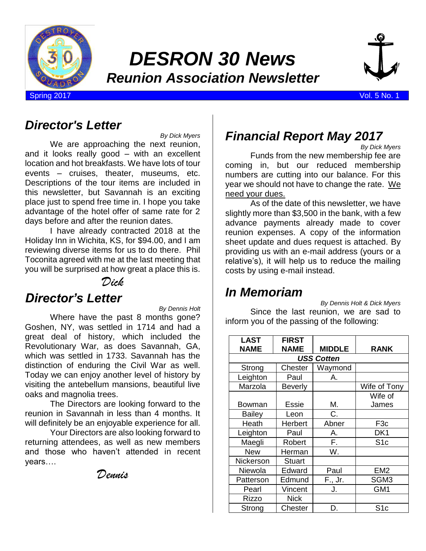

# *DESRON 30 News Reunion Association Newsletter*



Spring 2017 Vol. 5 No. 1

## *Director's Letter*

*By Dick Myers*

We are approaching the next reunion, and it looks really good – with an excellent location and hot breakfasts. We have lots of tour events – cruises, theater, museums, etc. Descriptions of the tour items are included in this newsletter, but Savannah is an exciting place just to spend free time in. I hope you take advantage of the hotel offer of same rate for 2 days before and after the reunion dates.

I have already contracted 2018 at the Holiday Inn in Wichita, KS, for \$94.00, and I am reviewing diverse items for us to do there. Phil Toconita agreed with me at the last meeting that you will be surprised at how great a place this is.

#### *Dick*

## *Director's Letter*

*By Dennis Holt*

Where have the past 8 months gone? Goshen, NY, was settled in 1714 and had a great deal of history, which included the Revolutionary War, as does Savannah, GA, which was settled in 1733. Savannah has the distinction of enduring the Civil War as well. Today we can enjoy another level of history by visiting the antebellum mansions, beautiful live oaks and magnolia trees.

The Directors are looking forward to the reunion in Savannah in less than 4 months. It will definitely be an enjoyable experience for all.

Your Directors are also looking forward to returning attendees, as well as new members and those who haven't attended in recent years….

*Dennis*

# *Financial Report May 2017*

*By Dick Myers*

Funds from the new membership fee are coming in, but our reduced membership numbers are cutting into our balance. For this year we should not have to change the rate. We need your dues.

As of the date of this newsletter, we have slightly more than \$3,500 in the bank, with a few advance payments already made to cover reunion expenses. A copy of the information sheet update and dues request is attached. By providing us with an e-mail address (yours or a relative's), it will help us to reduce the mailing costs by using e-mail instead.

# *In Memoriam*

*By Dennis Holt & Dick Myers*

Since the last reunion, we are sad to inform you of the passing of the following:

| <b>LAST</b>       | <b>FIRST</b>   |               |                  |  |  |  |  |
|-------------------|----------------|---------------|------------------|--|--|--|--|
| <b>NAME</b>       | <b>NAME</b>    | <b>MIDDLE</b> | <b>RANK</b>      |  |  |  |  |
| <b>USS Cotten</b> |                |               |                  |  |  |  |  |
| Strong            | Chester        | Waymond       |                  |  |  |  |  |
| Leighton          | Paul           | А.            |                  |  |  |  |  |
| Marzola           | <b>Beverly</b> |               | Wife of Tony     |  |  |  |  |
|                   |                |               | Wife of          |  |  |  |  |
| Bowman            | <b>Essie</b>   | М.            | James            |  |  |  |  |
| <b>Bailey</b>     | Leon           | C.            |                  |  |  |  |  |
| Heath             | Herbert        | Abner         | F <sub>3</sub> c |  |  |  |  |
| Leighton          | Paul           | А.            | DK1              |  |  |  |  |
| Maegli            | Robert         | F.            | S <sub>1c</sub>  |  |  |  |  |
| <b>New</b>        | Herman         | W.            |                  |  |  |  |  |
| Nickerson         | <b>Stuart</b>  |               |                  |  |  |  |  |
| Niewola           | Edward         | Paul          | EM <sub>2</sub>  |  |  |  |  |
| Patterson         | Edmund         | F., Jr.       | SGM3             |  |  |  |  |
| Pearl             | Vincent        | J.            | GM <sub>1</sub>  |  |  |  |  |
| Rizzo             | <b>Nick</b>    |               |                  |  |  |  |  |
| Strong            | Chester        | D.            | S <sub>1</sub> c |  |  |  |  |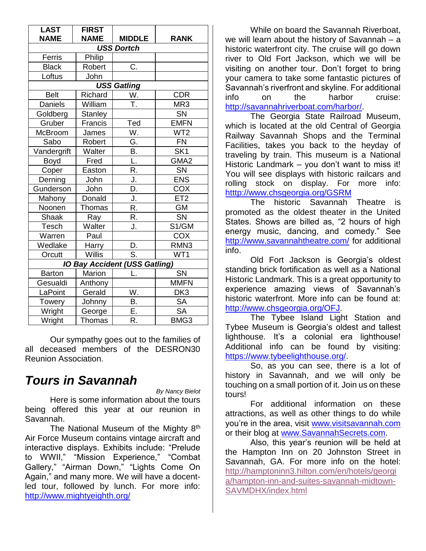| <b>LAST</b>                          | <b>FIRST</b>   |                           |                        |  |  |  |  |  |
|--------------------------------------|----------------|---------------------------|------------------------|--|--|--|--|--|
| <b>NAME</b>                          | <b>NAME</b>    | <b>MIDDLE</b>             | <b>RANK</b>            |  |  |  |  |  |
| <b>USS Dortch</b>                    |                |                           |                        |  |  |  |  |  |
| Ferris                               | Philip         |                           |                        |  |  |  |  |  |
| <b>Black</b>                         | Robert         | C.                        |                        |  |  |  |  |  |
| Loftus                               | John           |                           |                        |  |  |  |  |  |
| <b>USS Gatling</b>                   |                |                           |                        |  |  |  |  |  |
| <b>Belt</b>                          | Richard        | W.                        | <b>CDR</b>             |  |  |  |  |  |
| <b>Daniels</b>                       | William        | T.                        | MR <sub>3</sub>        |  |  |  |  |  |
| Goldberg                             | <b>Stanley</b> |                           | $\overline{\text{SN}}$ |  |  |  |  |  |
| Gruber                               | Francis        | Ted                       | <b>EMFN</b>            |  |  |  |  |  |
| McBroom                              | James          | W.                        | WT <sub>2</sub>        |  |  |  |  |  |
| Sabo                                 | Robert         | G.                        | <b>FN</b>              |  |  |  |  |  |
| Vandergrift                          | Walter         | Β.                        | SK <sub>1</sub>        |  |  |  |  |  |
| Boyd                                 | Fred           | L.                        | GMA <sub>2</sub>       |  |  |  |  |  |
| Coper                                | Easton         | R.                        | <b>SN</b>              |  |  |  |  |  |
| Derning                              | John           | <u>J.</u><br>D.           | <b>ENS</b>             |  |  |  |  |  |
| Gunderson                            | John           |                           | COX                    |  |  |  |  |  |
| Mahony                               | Donald         | J.                        | ET <sub>2</sub>        |  |  |  |  |  |
| Noonen                               | Thomas         | R.                        | <b>GM</b>              |  |  |  |  |  |
| Shaak                                | Ray            | R.                        | <b>SN</b>              |  |  |  |  |  |
| Tesch                                | Walter         | J.                        | S1/GM                  |  |  |  |  |  |
| Warren                               | Paul           |                           | COX                    |  |  |  |  |  |
| Wedlake                              | Harry          | D.                        | RMN3                   |  |  |  |  |  |
| Orcutt                               | <b>Willis</b>  | $\overline{\mathsf{S}}$ . | WT1                    |  |  |  |  |  |
| <b>IO Bay Accident (USS Gatling)</b> |                |                           |                        |  |  |  |  |  |
| <b>Barton</b>                        | Marion         |                           | <b>SN</b>              |  |  |  |  |  |
| Gesualdi                             | Anthony        |                           | <b>MMFN</b>            |  |  |  |  |  |
| LaPoint                              | Gerald         | W.                        | DK <sub>3</sub>        |  |  |  |  |  |
| Towery                               | Johnny         | Β.                        | <b>SA</b>              |  |  |  |  |  |
| Wright                               | George         | E.                        | <b>SA</b>              |  |  |  |  |  |
| Wright                               | Thomas         | R.                        | BMG3                   |  |  |  |  |  |

Our sympathy goes out to the families of all deceased members of the DESRON30 Reunion Association.

## *Tours in Savannah*

*By Nancy Bielot*

Here is some information about the tours being offered this year at our reunion in Savannah.

The National Museum of the Mighty 8<sup>th</sup> Air Force Museum contains vintage aircraft and interactive displays. Exhibits include: "Prelude to WWII," "Mission Experience," "Combat Gallery," "Airman Down," "Lights Come On Again," and many more. We will have a docentled tour, followed by lunch. For more info: <http://www.mightyeighth.org/>

While on board the Savannah Riverboat, we will learn about the history of Savannah – a historic waterfront city. The cruise will go down river to Old Fort Jackson, which we will be visiting on another tour. Don't forget to bring your camera to take some fantastic pictures of Savannah's riverfront and skyline. For additional info on the harbor cruise: [http://savannahriverboat.com/harbor/.](http://savannahriverboat.com/harbor/)

The Georgia State Railroad Museum, which is located at the old Central of Georgia Railway Savannah Shops and the Terminal Facilities, takes you back to the heyday of traveling by train. This museum is a National Historic Landmark – you don't want to miss it! You will see displays with historic railcars and rolling stock on display. For more info: [htttp://www.chsgeorgia.org/GSRM](http://www.chsgeorgia.org/GSRM)

The historic Savannah Theatre is promoted as the oldest theater in the United States. Shows are billed as, "2 hours of high energy music, dancing, and comedy." See <http://www.savannahtheatre.com/> for additional info.

Old Fort Jackson is Georgia's oldest standing brick fortification as well as a National Historic Landmark. This is a great opportunity to experience amazing views of Savannah's historic waterfront. More info can be found at: [http://www.chsgeorgia.org/OFJ.](http://www.chsgeorgia.org/OFJ)

The Tybee Island Light Station and Tybee Museum is Georgia's oldest and tallest lighthouse. It's a colonial era lighthouse! Additional info can be found by visiting: [https://www.tybeelighthouse.org/.](https://www.tybeelighthouse.org/)

So, as you can see, there is a lot of history in Savannah, and we will only be touching on a small portion of it. Join us on these tours!

For additional information on these attractions, as well as other things to do while you're in the area, visit [www.visitsavannah.com](http://www.visitsavannah.com/) or their blog at [www.SavannahSecrets.com.](http://www.savannahsecrets.com/)

Also, this year's reunion will be held at the Hampton Inn on 20 Johnston Street in Savannah, GA. For more info on the hotel: [http://hamptoninn3.hilton.com/en/hotels/georgi](http://hamptoninn3.hilton.com/en/hotels/georgia/hampton-inn-and-suites-savannah-midtown-SAVMDHX/index.html) [a/hampton-inn-and-suites-savannah-midtown-](http://hamptoninn3.hilton.com/en/hotels/georgia/hampton-inn-and-suites-savannah-midtown-SAVMDHX/index.html)[SAVMDHX/index.html](http://hamptoninn3.hilton.com/en/hotels/georgia/hampton-inn-and-suites-savannah-midtown-SAVMDHX/index.html)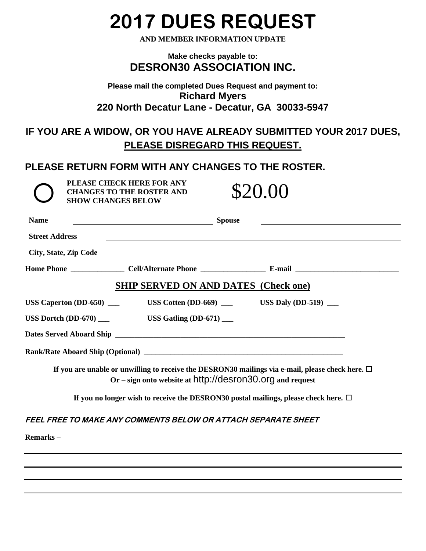# **2017 DUES REQUEST**

**AND MEMBER INFORMATION UPDATE**

#### **Make checks payable to: DESRON30 ASSOCIATION INC.**

**Please mail the completed Dues Request and payment to: Richard Myers 220 North Decatur Lane - Decatur, GA 30033-5947**

## **IF YOU ARE A WIDOW, OR YOU HAVE ALREADY SUBMITTED YOUR 2017 DUES, PLEASE DISREGARD THIS REQUEST.**

### **PLEASE RETURN FORM WITH ANY CHANGES TO THE ROSTER.**

| <b>Name</b>           | <b>Spouse</b>                                                                                         |  |  |  |  |  |  |
|-----------------------|-------------------------------------------------------------------------------------------------------|--|--|--|--|--|--|
| <b>Street Address</b> | <u> 1989 - John Stein, amerikansk politiker (d. 1989)</u>                                             |  |  |  |  |  |  |
| City, State, Zip Code | ,我们也不会有什么。""我们的人,我们也不会有什么?""我们的人,我们也不会有什么?""我们的人,我们也不会有什么?""我们的人,我们也不会有什么?""我们的人                      |  |  |  |  |  |  |
|                       |                                                                                                       |  |  |  |  |  |  |
|                       | <b>SHIP SERVED ON AND DATES (Check one)</b>                                                           |  |  |  |  |  |  |
|                       |                                                                                                       |  |  |  |  |  |  |
|                       |                                                                                                       |  |  |  |  |  |  |
|                       |                                                                                                       |  |  |  |  |  |  |
|                       |                                                                                                       |  |  |  |  |  |  |
|                       | If you are unable or unwilling to receive the DESRON30 mailings via e-mail, please check here. $\Box$ |  |  |  |  |  |  |
|                       | Or – sign onto website at http://desron30.org and request                                             |  |  |  |  |  |  |
|                       | If you no longer wish to receive the DESRON30 postal mailings, please check here. $\Box$              |  |  |  |  |  |  |
|                       | FEEL FREE TO MAKE ANY COMMENTS BELOW OR ATTACH SEPARATE SHEET                                         |  |  |  |  |  |  |
| Remarks-              |                                                                                                       |  |  |  |  |  |  |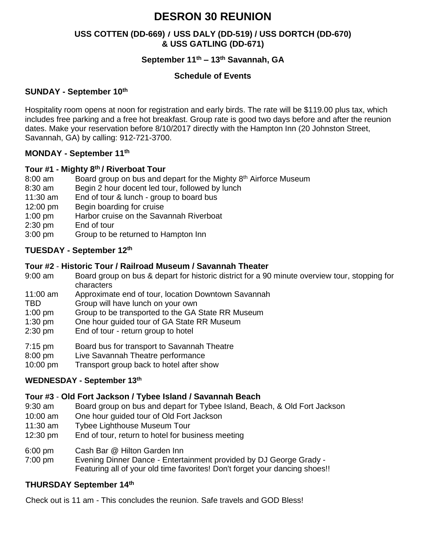## **DESRON 30 REUNION**

#### **USS COTTEN (DD-669)** *I* **USS DALY (DD-519) / USS DORTCH (DD-670) & USS GATLING (DD-671)**

#### **September 11th – 13th Savannah, GA**

#### **Schedule of Events**

#### **SUNDAY - September 10th**

Hospitality room opens at noon for registration and early birds. The rate will be \$119.00 plus tax, which includes free parking and a free hot breakfast. Group rate is good two days before and after the reunion dates. Make your reservation before 8/10/2017 directly with the Hampton Inn (20 Johnston Street, Savannah, GA) by calling: 912-721-3700.

#### **MONDAY - September 11th**

#### **Tour #1 - Mighty 8th / Riverboat Tour**

- 8:00 am Board group on bus and depart for the Mighty 8<sup>th</sup> Airforce Museum
- 8:30 am Begin 2 hour docent led tour, followed by lunch
- 11:30 am End of tour & lunch group to board bus
- 12:00 pm Begin boarding for cruise
- 1:00 pm Harbor cruise on the Savannah Riverboat
- 2:30 pm End of tour
- 3:00 pm Group to be returned to Hampton Inn

#### **TUESDAY - September 12th**

#### **Tour #2** - **Historic Tour / Railroad Museum / Savannah Theater**

- 9:00 am Board group on bus & depart for historic district for a 90 minute overview tour, stopping for characters
- 11:00 am Approximate end of tour, location Downtown Savannah
- TBD Group will have lunch on your own
- 1:00 pm Group to be transported to the GA State RR Museum
- 1:30 pm One hour guided tour of GA State RR Museum
- 2:30 pm End of tour return group to hotel
- 7:15 pm Board bus for transport to Savannah Theatre
- 8:00 pm Live Savannah Theatre performance
- 10:00 pm Transport group back to hotel after show

#### **WEDNESDAY - September 13th**

#### **Tour #3** - **Old Fort Jackson / Tybee Island / Savannah Beach**

- 9:30 am Board group on bus and depart for Tybee Island, Beach, & Old Fort Jackson
- 10:00 am One hour guided tour of Old Fort Jackson
- 11:30 am Tybee Lighthouse Museum Tour
- 12:30 pm End of tour, return to hotel for business meeting
- 6:00 pm Cash Bar @ Hilton Garden Inn
- 7:00 pm Evening Dinner Dance Entertainment provided by DJ George Grady Featuring all of your old time favorites! Don't forget your dancing shoes!!

#### **THURSDAY September 14th**

Check out is 11 am - This concludes the reunion. Safe travels and GOD Bless!